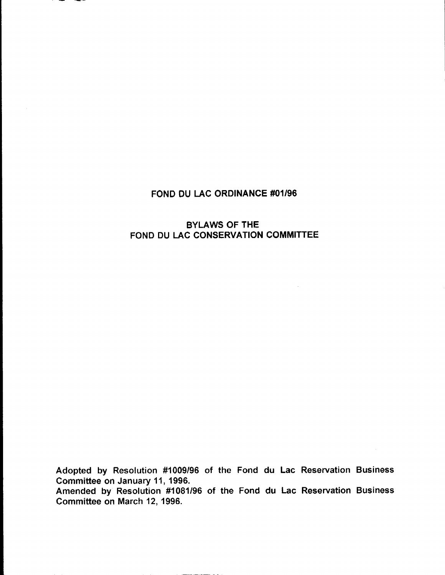# FOND DU LAC ORDINANCE #01/96

### BYLAWS OF THE FOND DU LAC CONSERVATION COMMITTEE

Adopted by Resolution #1009/96 of the Fond du Lac Reservation Business Committee on January 11, 1996.

Amended by Resolution #1081/96 of the Fond du Lac Reservation Business Committee on March 12, 1996.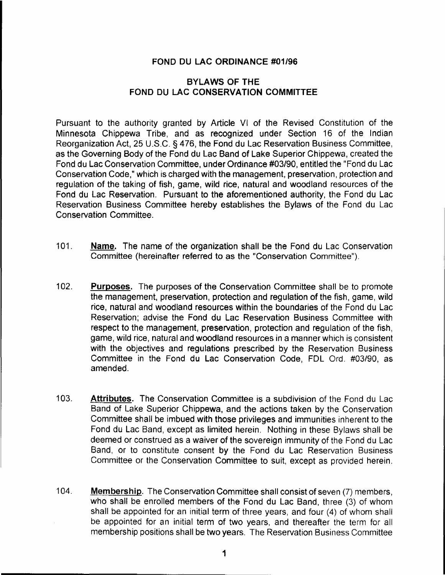#### FOND DU LAC ORDINANCE #01/96

### BYLAWS OF THE FOND DU LAC CONSERVATION COMMITTEE

Pursuant to the authority granted by Article VI of the Revised Constitution of the Minnesota Chippewa Tribe, and as recognized under Section 16 of the Indian Reorganization Act, 25 U.S.C. § 476, the Fond du Lac Reservation Business Committee, as the Governing Body of the Fond du Lac Band of Lake Superior Chippewa, created the Fond du Lac Conservation Committee, under Ordinance #03/90, entitled the "Fond du Lac Conservation Code," which is charged with the management, preservation, protection and regulation of the taking of fish, game, wild rice, natural and woodland resources of the Fond du Lac Reservation. Pursuant to the aforementioned authority, the Fond du Lac Reservation Business Committee hereby establishes the Bylaws of the Fond du Lac Conservation Committee.

- 101. Name. The name of the organization shall be the Fond du Lac Conservation Committee (hereinafter referred to as the "Conservation Committee").
- 102. Purposes. The purposes of the Conservation Committee shall be to promote the management, preservation, protection and regulation of the fish, game, wild rice, natural and woodland resources within the boundaries of the Fond du Lac Reservation; advise the Fond du Lac Reservation Business Committee with respect to the management, preservation, protection and regulation of the fish, game, wild rice, natural and woodland resources in a manner which is consistent with the objectives and regulations prescribed by the Reservation Business Committee in the Fond du Lac Conservation Code, FDL Ord. #03/90, as amended.
- 103. Attributes. The Conservation Committee is a subdivision of the Fond du Lac Band of Lake Superior Chippewa, and the actions taken by the Conservation Committee shall be imbued with those privileges and immunities inherent to the Fond du Lac Band, except as limited herein. Nothing in these Bylaws shall be deemed or construed as a waiver of the sovereign immunity of the Fond du Lac Band, or to constitute consent by the Fond du Lac Reservation Business Committee or the Conservation Committee to suit, except as provided herein.
- 104. Membership. The Conservation Committee shall consist of seven (7) members, who shall be enrolled members of the Fond du Lac Band, three (3) of whom shall be appointed for an initial term of three years, and four (4) of whom shall be appointed for an initial term of two years, and thereafter the term for all membership positions shall be two years. The Reservation Business Committee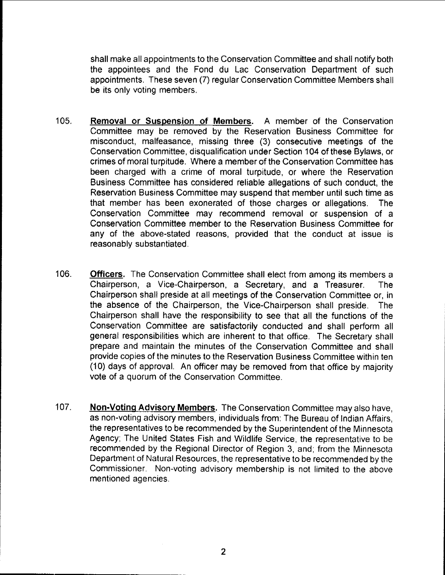shall make all appointments to the Conservation Committee and shall notify both the appointees and the Fond du Lac Conservation Department of such appointments. These seven (7) regular Conservation Committee Members shall be its only voting members.

- 105. Removal or Suspension of Members. A member of the Conservation Committee may be removed by the Reservation Business Committee for misconduct, malfeasance, missing three (3) consecutive meetings of the Conservation Committee, disqualification under Section 104 of these Bylaws, or crimes of moral turpitude. Where a member of the Conservation Committee has been charged with a crime of moral turpitude, or where the Reservation Business Committee has considered reliable allegations of such conduct, the Reservation Business Committee may suspend that member until such time as that member has been exonerated of those charges or allegations. The Conservation Committee may recommend removal or suspension of a Conservation Committee member to the Reservation Business Committee for any of the above-stated reasons, provided that the conduct at issue is reasonably substantiated.
- 106. Officers. The Conservation Committee shall elect from among its members a Chairperson, a Vice-Chairperson, a Secretary, and a Treasurer. The Chairperson shall preside at all meetings of the Conservation Committee or, in the absence of the Chairperson, the Vice-Chairperson shall preside. The Chairperson shall have the responsibility to see that all the functions of the Conservation Committee are satisfactorily conducted and shall perform all general responsibilities which are inherent to that office. The Secretary shall prepare and maintain the minutes of the Conservation Committee and shall provide copies of the minutes to the Reservation Business Committee within ten (10) days of approval. An officer may be removed from that office by majority vote of a quorum of the Conservation Committee.
- 107. Non-Voting Advisory Members. The Conservation Committee may also have, as non-voting advisory members, individuals from: The Bureau of Indian Affairs, the representatives to be recommended by the Superintendent of the Minnesota Agency; The United States Fish and Wildlife Service, the representative to be recommended by the Regional Director of Region 3, and; from the Minnesota Department of Natural Resources, the representative to be recommended by the Commissioner. Non-voting advisory membership is not limited to the above mentioned agencies.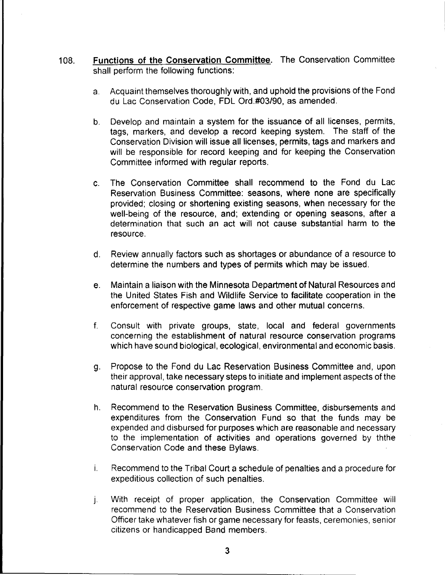- 108. Functions of the Conservation Committee. The Conservation Committee shall perform the following functions:
	- a. Acquaint themselves thoroughly with, and uphold the provisions of the Fond du Lac Conservation Code, FDL Ord.#03/90, as amended.
	- b. Develop and maintain a system for the issuance of all licenses, permits, tags, markers, and develop a record keeping system. The staff of the Conservation Division will issue all licenses, permits, tags and markers and will be responsible for record keeping and for keeping the Conservation Committee informed with regular reports.
	- c. The Conservation Committee shall recommend to the Fond du Lac Reservation Business Committee: seasons, where none are specifically provided; closing or shortening existing seasons, when necessary for the well-being of the resource, and; extending or opening seasons, after a determination that such an act will not cause substantial harm to the resource.
	- d. Review annually factors such as shortages or abundance of a resource to determine the numbers and types of permits which may be issued.
	- e. Maintain a liaison with the Minnesota Department of Natural Resources and the United States Fish and Wildlife Service to facilitate cooperation in the enforcement of respective game laws and other mutual concerns.
	- f. Consult with private groups, state, local and federal governments concerning the establishment of natural resource conservation programs which have sound biological, ecological, environmental and economic basis.
	- g. Propose to the Fond du Lac Reservation Business Committee and, upon their approval, take necessary steps to in itiate and implement aspects of the natural resource conservation program.
	- h. Recommend to the Reservation Business Committee, disbursements and expenditures from the Conservation Fund so that the funds may be expended and disbursed for purposes which are reasonable and necessary to the implementation of activities and operations governed by ththe Conservation Code and these Bylaws.
	- i. Recommend to the Tribal Court a schedule of penalties and a procedure for expeditious collection of such penalties.
	- j. With receipt of proper application, the Conservation Committee will recommend to the Reservation Business Committee that a Conservation Officer take whatever fish or game necessary for feasts, ceremonies, senior citizens or handicapped Band members.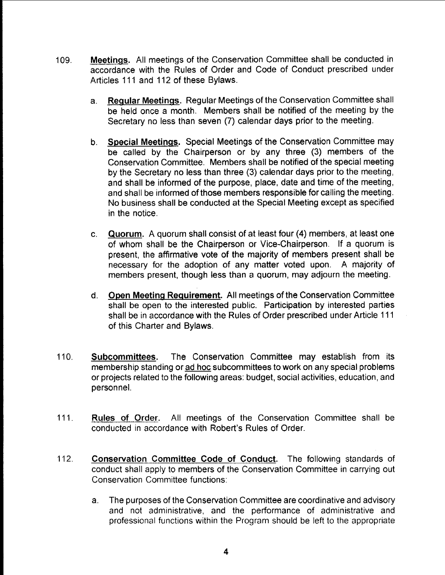- 109. Meetings. All meetings of the Conservation Committee shall be conducted in accordance with the Rules of Order and Code of Conduct prescribed under Articles 111 and 112 of these Bylaws.
	- a. Regular Meetings. Regular Meetings of the Conservation Committee shall be held once a month. Members shall be notified of the meeting by the Secretary no less than seven (7) calendar days prior to the meeting.
	- b. Special Meetings. Special Meetings of the Conservation Committee may be called by the Chairperson or by any three (3) members of the Conservation Committee. Members shall be notified of the special meeting by the Secretary no less than three (3) calendar days prior to the meeting, and shall be informed of the purpose, place, date and time of the meeting, and shall be informed of those members responsible for calling the meeting. No business shall be conducted at the Special Meeting except as specified in the notice.
	- c. Quorum. A quorum shall consist of at least four (4) members, at least one of whom shall be the Chairperson or Vice-Chairperson. If a quorum is present, the affirmative vote of the majority of members present shall be necessary for the adoption of any matter voted upon. A majority of members present, though less than a quorum, may adjourn the meeting.
	- d. Open Meeting Requirement. All meetings of the Conservation Committee shall be open to the interested public. Participation by interested parties shall be in accordance with the Rules of Order prescribed under Article 111 of this Charter and Bylaws.
- 110. Subcommittees. The Conservation Committee may establish from its membership standing or ad hoc subcommittees to work on any special problems or projects related to the following areas: bUdget, social activities, education, and personnel.
- 111. Rules of Order. All meetings of the Conservation Committee shall be conducted in accordance with Robert's Rules of Order.
- 112. Conservation Committee Code of Conduct. The following standards of conduct shall apply to members of the Conservation Committee in carrying out Conservation Committee functions:
	- a. The purposes of the Conservation Committee are coordinative and advisory and not administrative, and the performance of administrative and professional functions within the Program should be left to the appropriate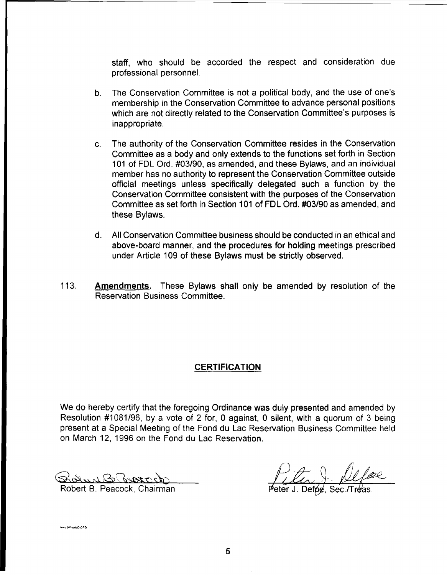staff, who should be accorded the respect and consideration due professional personnel.

- b. The Conservation Committee is not a political body, and the use of one's membership in the Conservation Committee to advance personal positions which are not directly related to the Conservation Committee's purposes is inappropriate.
- c. The authority of the Conservation Committee resides in the Conservation Committee as a body and only extends to the functions set forth in Section 101 of FDL Ord. #03/90, as amended, and these Bylaws, and an individual member has no authority to represent the Conservation Committee outside official meetings unless specifically delegated such a function by the Conservation Committee consistent with the purposes of the Conservation Committee as set forth in Section 101 of FDL Ord. #03/90 as amended, and these Bylaws.
- d. All Conservation Committee business should be conducted in an ethical and above-board manner, and the procedures for holding meetings prescribed under Article 109 of these Bylaws must be strictly observed.
- 113. **Amendments.** These Bylaws shall only be amended by resolution of the Reservation Business Committee.

## **CERTIFICATION**

We do hereby certify that the foregoing Ordinance was duly presented and amended by Resolution #1081/96, by a vote of 2 for, 0 against, 0 silent, with a quorum of 3 being present at a Special Meeting of the Fond du Lac Reservation Business Committee held on March 12, 1996 on the Fond du Lac Reservation.

Robert B. Peacock, Chairman

vs:9601AMD.ORC

 $\rho_{\text{electro}}$ 0.<br>**Top**, Sec.*T*Treas.